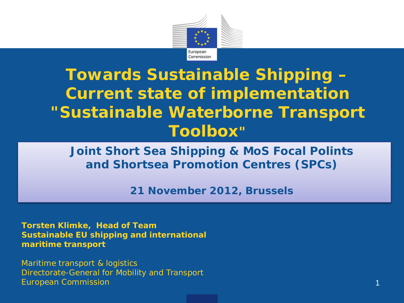

### **Towards Sustainable Shipping** *– Current state of implementation "Sustainable Waterborne Transport Toolbox"*

**Joint Short Sea Shipping & MoS Focal Polints and Shortsea Promotion Centres (SPCs)**

**21 November 2012, Brussels**

**Torsten Klimke, Head of Team Sustainable EU shipping and international maritime transport** 

Maritime transport & logistics Directorate-General for Mobility and Transport European Commission 1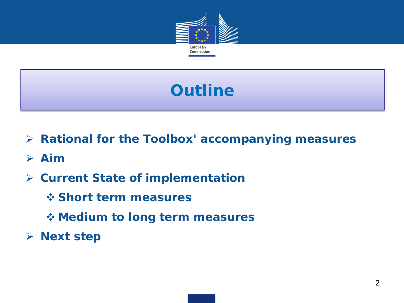

### **Outline**

- **Rational for the Toolbox' accompanying measures**
- **Aim**
- **Current State of implementation** 
	- *Short term measures*
	- *Medium to long term measures*
- **Next step**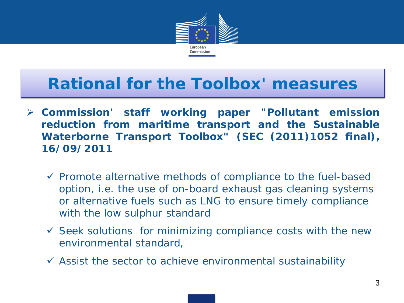

### **Rational for the Toolbox' measures**

- **Commission' staff working paper "Pollutant emission reduction from maritime transport and the Sustainable Waterborne Transport Toolbox" (SEC (2011)1052 final), 16/09/2011**
	- *Promote alternative methods of compliance to the fuel-based option, i.e. the use of on-board exhaust gas cleaning systems or alternative fuels such as LNG to ensure timely compliance with the low sulphur standard*
	- *Seek solutions for minimizing compliance costs with the new environmental standard,*
	- *Assist the sector to achieve environmental sustainability*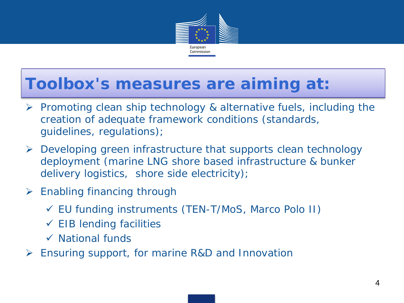

### **Toolbox's measures are aiming at:**

- *Promoting clean ship technology & alternative fuels, including the creation of adequate framework conditions (standards, guidelines, regulations);*
- *Developing green infrastructure that supports clean technology deployment (marine LNG shore based infrastructure & bunker delivery logistics, shore side electricity);*
- *Enabling financing through* 
	- *EU funding instruments (TEN-T/MoS, Marco Polo II)*
	- *EIB lending facilities*
	- *National funds*
- *Ensuring support, for marine R&D and Innovation*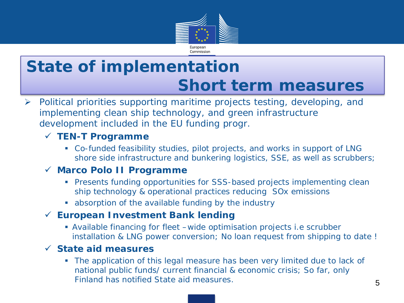

## **State of implementation**   *Short term measures*

 $\triangleright$  Political priorities supporting maritime projects testing, developing, and implementing clean ship technology, and green infrastructure development included in the EU funding progr.

#### **TEN-T Programme**

 *Co-funded feasibility studies, pilot projects, and works in support of LNG shore side infrastructure and bunkering logistics, SSE, as well as scrubbers;*

### **Marco Polo II Programme**

- *Presents funding opportunities for SSS-based projects implementing clean ship technology & operational practices reducing SOx emissions*
- *absorption of the available funding by the industry*

#### **European Investment Bank lending**

 *Available financing for fleet –wide optimisation projects i.e scrubber installation & LNG power conversion; No loan request from shipping to date !*

#### **State aid measures**

 *The application of this legal measure has been very limited due to lack of national public funds/ current financial & economic crisis; So far, only Finland has notified State aid measures.*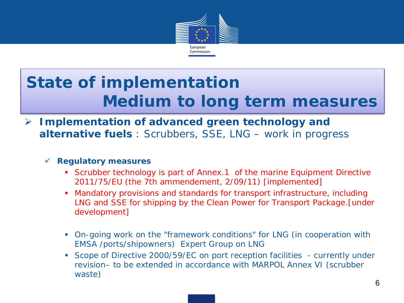

## **State of implementation** *Medium to long term measures*

 **Implementation of advanced green technology and alternative fuels** : Scrubbers, SSE, LNG – work in progress

#### **Regulatory measures**

- *Scrubber technology is part of Annex.1 of the marine Equipment Directive 2011/75/EU (the 7th ammendement, 2/09/11) [implemented]*
- *Mandatory provisions and standards for transport infrastructure, including LNG and SSE for shipping by the Clean Power for Transport Package.[under development]*
- *On-going work on the "framework conditions" for LNG (in cooperation with EMSA /ports/shipowners) Expert Group on LNG*
- *Scope of Directive 2000/59/EC on port reception facilities - currently under revision– to be extended in accordance with MARPOL Annex VI (scrubber waste)*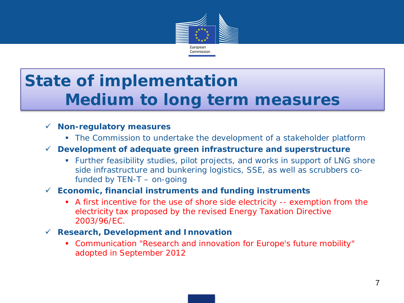

### **State of implementation**  *Medium to long term measures*

#### **Non-regulatory measures**

*The Commission to undertake the development of a stakeholder platform* 

#### **Development of adequate green infrastructure and superstructure**

 *Further feasibility studies, pilot projects, and works in support of LNG shore side infrastructure and bunkering logistics, SSE, as well as scrubbers cofunded by TEN-T – on-going* 

#### **Economic, financial instruments and funding instruments**

- *A first incentive for the use of shore side electricity -- exemption from the electricity tax proposed by the revised Energy Taxation Directive 2003/96/EC.*
- **Research, Development and Innovation**
	- *Communication "Research and innovation for Europe's future mobility" adopted in September 2012*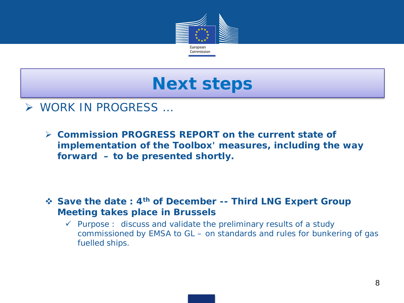

### **Next steps**

### WORK IN PROGRESS …

 **Commission PROGRESS REPORT on the current state of implementation of the Toolbox' measures, including the way forward – to be presented shortly.** 

- **Save the date : 4th of December -- Third LNG Expert Group Meeting takes place in Brussels**
	- $\checkmark$  Purpose : discuss and validate the preliminary results of a study commissioned by EMSA to GL – on standards and rules for bunkering of gas fuelled ships.